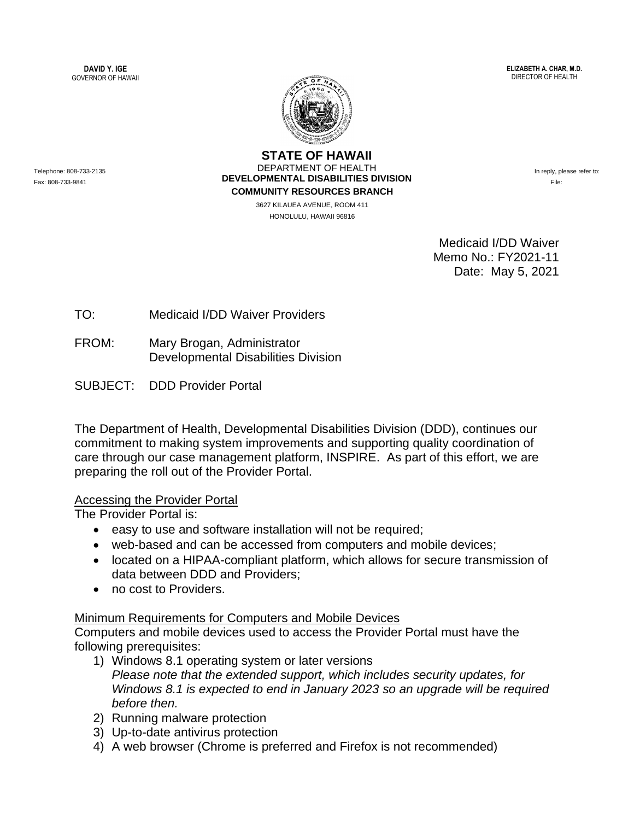**DAVID Y. IGE** GOVERNOR OF HAWAII **ELIZABETH A. CHAR, M.D.** DIRECTOR OF HEALTH



**STATE OF HAWAII** DEPARTMENT OF HEALTH **DEVELOPMENTAL DISABILITIES DIVISION COMMUNITY RESOURCES BRANCH**

> 3627 KILAUEA AVENUE, ROOM 411 HONOLULU, HAWAII 96816

In reply, please refer to: File:

Medicaid I/DD Waiver Memo No.: FY2021-11 Date: May 5, 2021

TO: Medicaid I/DD Waiver Providers

FROM: Mary Brogan, Administrator Developmental Disabilities Division

SUBJECT: DDD Provider Portal

The Department of Health, Developmental Disabilities Division (DDD), continues our commitment to making system improvements and supporting quality coordination of care through our case management platform, INSPIRE. As part of this effort, we are preparing the roll out of the Provider Portal.

## Accessing the Provider Portal

The Provider Portal is:

- easy to use and software installation will not be required;
- web-based and can be accessed from computers and mobile devices;
- located on a HIPAA-compliant platform, which allows for secure transmission of data between DDD and Providers;
- no cost to Providers.

## Minimum Requirements for Computers and Mobile Devices

Computers and mobile devices used to access the Provider Portal must have the following prerequisites:

- 1) Windows 8.1 operating system or later versions *Please note that the extended support, which includes security updates, for Windows 8.1 is expected to end in January 2023 so an upgrade will be required before then.*
- 2) Running malware protection
- 3) Up-to-date antivirus protection
- 4) A web browser (Chrome is preferred and Firefox is not recommended)

Telephone: 808-733-2135 Fax: 808-733-9841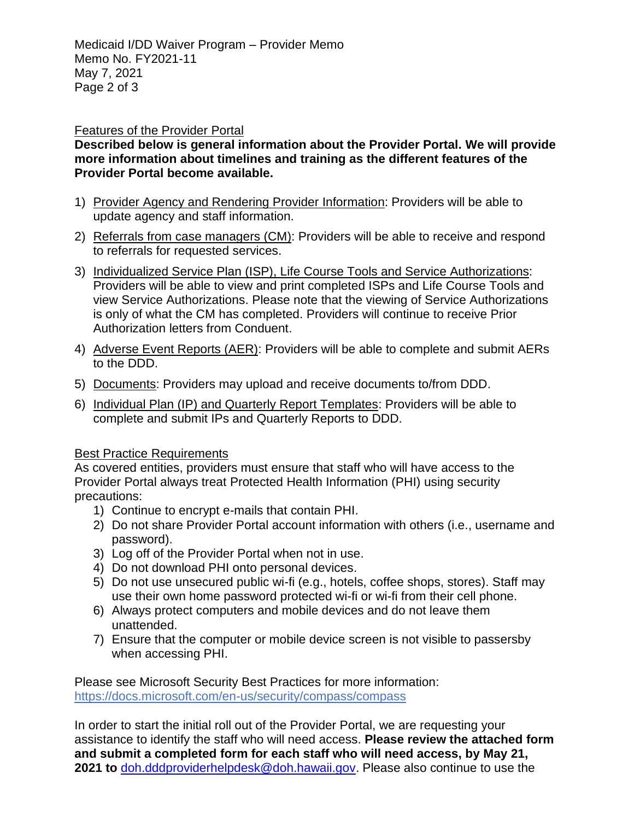## Features of the Provider Portal

**Described below is general information about the Provider Portal. We will provide more information about timelines and training as the different features of the Provider Portal become available.**

- 1) Provider Agency and Rendering Provider Information: Providers will be able to update agency and staff information.
- 2) Referrals from case managers (CM): Providers will be able to receive and respond to referrals for requested services.
- 3) Individualized Service Plan (ISP), Life Course Tools and Service Authorizations: Providers will be able to view and print completed ISPs and Life Course Tools and view Service Authorizations. Please note that the viewing of Service Authorizations is only of what the CM has completed. Providers will continue to receive Prior Authorization letters from Conduent.
- 4) Adverse Event Reports (AER): Providers will be able to complete and submit AERs to the DDD.
- 5) Documents: Providers may upload and receive documents to/from DDD.
- 6) Individual Plan (IP) and Quarterly Report Templates: Providers will be able to complete and submit IPs and Quarterly Reports to DDD.

## Best Practice Requirements

As covered entities, providers must ensure that staff who will have access to the Provider Portal always treat Protected Health Information (PHI) using security precautions: 

- 1) Continue to encrypt e-mails that contain PHI.
- 2) Do not share Provider Portal account information with others (i.e., username and password).
- 3) Log off of the Provider Portal when not in use.
- 4) Do not download PHI onto personal devices.
- 5) Do not use unsecured public wi-fi (e.g., hotels, coffee shops, stores). Staff may use their own home password protected wi-fi or wi-fi from their cell phone.
- 6) Always protect computers and mobile devices and do not leave them unattended.
- 7) Ensure that the computer or mobile device screen is not visible to passersby when accessing PHI.

Please see Microsoft Security Best Practices for more information: <https://docs.microsoft.com/en-us/security/compass/compass>

In order to start the initial roll out of the Provider Portal, we are requesting your assistance to identify the staff who will need access. **Please review the attached form and submit a completed form for each staff who will need access, by May 21, 2021 to** [doh.dddproviderhelpdesk@doh.hawaii.gov.](mailto:doh.dddproviderhelpdesk@doh.hawaii.gov) Please also continue to use the